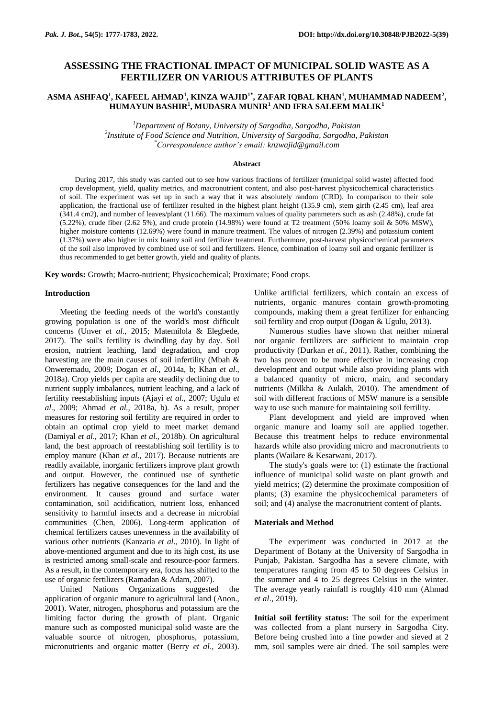# **ASSESSING THE FRACTIONAL IMPACT OF MUNICIPAL SOLID WASTE AS A FERTILIZER ON VARIOUS ATTRIBUTES OF PLANTS**

## **ASMA ASHFAQ<sup>1</sup> , KAFEEL AHMAD<sup>1</sup> , KINZA WAJID1\*, ZAFAR IQBAL KHAN<sup>1</sup> , MUHAMMAD NADEEM<sup>2</sup> , HUMAYUN BASHIR<sup>1</sup> , MUDASRA MUNIR<sup>1</sup> AND IFRA SALEEM MALIK<sup>1</sup>**

*<sup>1</sup>Department of Botany, University of Sargodha, Sargodha, Pakistan 2 Institute of Food Science and Nutrition, University of Sargodha, Sargodha, Pakistan \*Correspondence author's email: [knzwajid@gmail.com](mailto:knzwajid@gmail.com)*

#### **Abstract**

During 2017, this study was carried out to see how various fractions of fertilizer (municipal solid waste) affected food crop development, yield, quality metrics, and macronutrient content, and also post-harvest physicochemical characteristics of soil. The experiment was set up in such a way that it was absolutely random (CRD). In comparison to their sole application, the fractional use of fertilizer resulted in the highest plant height (135.9 cm), stem girth (2.45 cm), leaf area (341.4 cm2), and number of leaves/plant (11.66). The maximum values of quality parameters such as ash (2.48%), crude fat  $(5.22%)$ , crude fiber  $(2.62\,5%)$ , and crude protein  $(14.98%)$  were found at T2 treatment  $(50%$  loamy soil & 50% MSW), higher moisture contents (12.69%) were found in manure treatment. The values of nitrogen (2.39%) and potassium content (1.37%) were also higher in mix loamy soil and fertilizer treatment. Furthermore, post-harvest physicochemical parameters of the soil also improved by combined use of soil and fertilizers. Hence, combination of loamy soil and organic fertilizer is thus recommended to get better growth, yield and quality of plants.

**Key words:** Growth; Macro-nutrient; Physicochemical; Proximate; Food crops.

#### **Introduction**

Meeting the feeding needs of the world's constantly growing population is one of the world's most difficult concerns (Unver *et al*., 2015; Matemilola & Elegbede, 2017). The soil's fertility is dwindling day by day. Soil erosion, nutrient leaching, land degradation, and crop harvesting are the main causes of soil infertility (Mbah & Onweremadu, 2009; Dogan *et al*., 2014a, b; Khan *et al*., 2018a). Crop yields per capita are steadily declining due to nutrient supply imbalances, nutrient leaching, and a lack of fertility reestablishing inputs (Ajayi *et al*., 2007; Ugulu *et al*., 2009; Ahmad *et al.,* 2018a, b). As a result, proper measures for restoring soil fertility are required in order to obtain an optimal crop yield to meet market demand (Damiyal *et al*., 2017; Khan *et al*., 2018b). On agricultural land, the best approach of reestablishing soil fertility is to employ manure (Khan *et al*., 2017). Because nutrients are readily available, inorganic fertilizers improve plant growth and output. However, the continued use of synthetic fertilizers has negative consequences for the land and the environment. It causes ground and surface water contamination, soil acidification, nutrient loss, enhanced sensitivity to harmful insects and a decrease in microbial communities (Chen, 2006). Long-term application of chemical fertilizers causes unevenness in the availability of various other nutrients (Kanzaria *et al*., 2010). In light of above-mentioned argument and due to its high cost, its use is restricted among small-scale and resource-poor farmers. As a result, in the contemporary era, focus has shifted to the use of organic fertilizers (Ramadan & Adam, 2007).

United Nations Organizations suggested the application of organic manure to agricultural land (Anon., 2001). Water, nitrogen, phosphorus and potassium are the limiting factor during the growth of plant. Organic manure such as composted municipal solid waste are the valuable source of nitrogen, phosphorus, potassium, micronutrients and organic matter (Berry *et al*., 2003).

Unlike artificial fertilizers, which contain an excess of nutrients, organic manures contain growth-promoting compounds, making them a great fertilizer for enhancing soil fertility and crop output (Dogan & Ugulu, 2013).

Numerous studies have shown that neither mineral nor organic fertilizers are sufficient to maintain crop productivity (Durkan *et al*., 2011). Rather, combining the two has proven to be more effective in increasing crop development and output while also providing plants with a balanced quantity of micro, main, and secondary nutrients (Milkha & Aulakh, 2010). The amendment of soil with different fractions of MSW manure is a sensible way to use such manure for maintaining soil fertility.

Plant development and yield are improved when organic manure and loamy soil are applied together. Because this treatment helps to reduce environmental hazards while also providing micro and macronutrients to plants (Wailare & Kesarwani, 2017).

The study's goals were to: (1) estimate the fractional influence of municipal solid waste on plant growth and yield metrics; (2) determine the proximate composition of plants; (3) examine the physicochemical parameters of soil; and (4) analyse the macronutrient content of plants.

## **Materials and Method**

The experiment was conducted in 2017 at the Department of Botany at the University of Sargodha in Punjab, Pakistan. Sargodha has a severe climate, with temperatures ranging from 45 to 50 degrees Celsius in the summer and 4 to 25 degrees Celsius in the winter. The average yearly rainfall is roughly 410 mm (Ahmad *et al*., 2019).

**Initial soil fertility status:** The soil for the experiment was collected from a plant nursery in Sargodha City. Before being crushed into a fine powder and sieved at 2 mm, soil samples were air dried. The soil samples were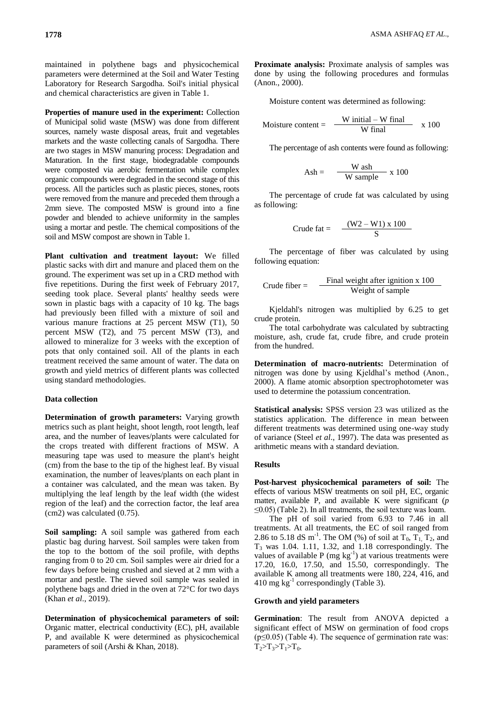maintained in polythene bags and physicochemical parameters were determined at the Soil and Water Testing Laboratory for Research Sargodha. Soil's initial physical and chemical characteristics are given in Table 1.

**Properties of manure used in the experiment:** Collection of Municipal solid waste (MSW) was done from different sources, namely waste disposal areas, fruit and vegetables markets and the waste collecting canals of Sargodha. There are two stages in MSW manuring process: Degradation and Maturation. In the first stage, biodegradable compounds were composted via aerobic fermentation while complex organic compounds were degraded in the second stage of this process. All the particles such as plastic pieces, stones, roots were removed from the manure and preceded them through a 2mm sieve. The composted MSW is ground into a fine powder and blended to achieve uniformity in the samples using a mortar and pestle. The chemical compositions of the soil and MSW compost are shown in Table 1.

**Plant cultivation and treatment layout:** We filled plastic sacks with dirt and manure and placed them on the ground. The experiment was set up in a CRD method with five repetitions. During the first week of February 2017, seeding took place. Several plants' healthy seeds were sown in plastic bags with a capacity of 10 kg. The bags had previously been filled with a mixture of soil and various manure fractions at 25 percent MSW (T1), 50 percent MSW (T2), and 75 percent MSW (T3), and allowed to mineralize for 3 weeks with the exception of pots that only contained soil. All of the plants in each treatment received the same amount of water. The data on growth and yield metrics of different plants was collected using standard methodologies.

#### **Data collection**

**Determination of growth parameters:** Varying growth metrics such as plant height, shoot length, root length, leaf area, and the number of leaves/plants were calculated for the crops treated with different fractions of MSW. A measuring tape was used to measure the plant's height (cm) from the base to the tip of the highest leaf. By visual examination, the number of leaves/plants on each plant in a container was calculated, and the mean was taken. By multiplying the leaf length by the leaf width (the widest region of the leaf) and the correction factor, the leaf area (cm2) was calculated (0.75).

**Soil sampling:** A soil sample was gathered from each plastic bag during harvest. Soil samples were taken from the top to the bottom of the soil profile, with depths ranging from 0 to 20 cm. Soil samples were air dried for a few days before being crushed and sieved at 2 mm with a mortar and pestle. The sieved soil sample was sealed in polythene bags and dried in the oven at 72°C for two days (Khan *et al*., 2019).

**Determination of physicochemical parameters of soil:**  Organic matter, electrical conductivity (EC), pH, available P, and available K were determined as physicochemical parameters of soil (Arshi & Khan, 2018).

**Proximate analysis:** Proximate analysis of samples was done by using the following procedures and formulas (Anon., 2000).

Moisture content was determined as following:

$$
Moisture content = \frac{W initial - W final}{W final} \times 100
$$

The percentage of ash contents were found as following:

$$
Ash = \frac{W \text{ ash}}{W \text{ sample}} \times 100
$$

The percentage of crude fat was calculated by using as following:

$$
Crude fat = \frac{(W2 - W1)x 100}{S}
$$

The percentage of fiber was calculated by using following equation:

$$
Crude fiber = \frac{Final weight after ignition x 100}{Weight of sample}
$$

Kjeldahl's nitrogen was multiplied by 6.25 to get crude protein.

The total carbohydrate was calculated by subtracting moisture, ash, crude fat, crude fibre, and crude protein from the hundred.

**Determination of macro-nutrients:** Determination of nitrogen was done by using Kjeldhal"s method (Anon., 2000). A flame atomic absorption spectrophotometer was used to determine the potassium concentration.

**Statistical analysis:** SPSS version 23 was utilized as the statistics application. The difference in mean between different treatments was determined using one-way study of variance (Steel *et al*., 1997). The data was presented as arithmetic means with a standard deviation.

## **Results**

**Post-harvest physicochemical parameters of soil:** The effects of various MSW treatments on soil pH, EC, organic matter, available P, and available K were significant (*p*  ≤0.05) (Table 2). In all treatments, the soil texture was loam.

The pH of soil varied from 6.93 to 7.46 in all treatments. At all treatments, the EC of soil ranged from 2.86 to 5.18 dS m<sup>-1</sup>. The OM (%) of soil at  $T_0$ ,  $T_1$ ,  $T_2$ , and  $T_3$  was 1.04. 1.11, 1.32, and 1.18 correspondingly. The values of available  $P$  (mg  $kg^{-1}$ ) at various treatments were 17.20, 16.0, 17.50, and 15.50, correspondingly. The available K among all treatments were 180, 224, 416, and 410 mg  $kg^{-1}$  correspondingly (Table 3).

## **Growth and yield parameters**

**Germination**: The result from ANOVA depicted a significant effect of MSW on germination of food crops (p≤0.05) (Table 4). The sequence of germination rate was:  $T_2 > T_3 > T_1 > T_0$ .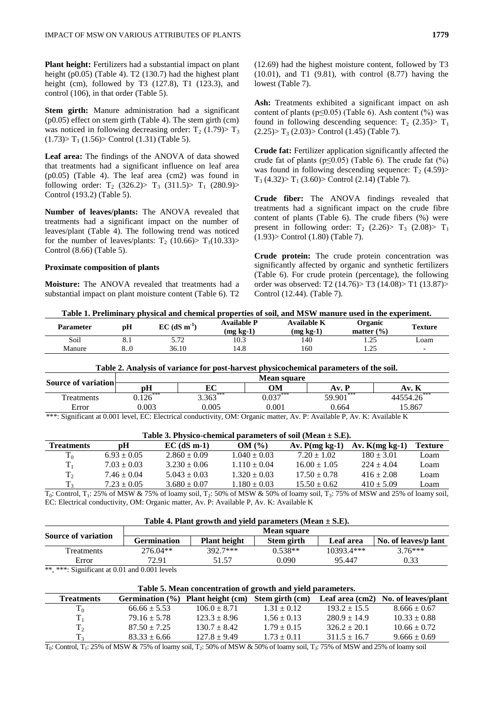**Plant height:** Fertilizers had a substantial impact on plant height (p0.05) (Table 4). T2 (130.7) had the highest plant height (cm), followed by T3 (127.8), T1 (123.3), and control (106), in that order (Table 5).

**Stem girth:** Manure administration had a significant (p0.05) effect on stem girth (Table 4). The stem girth (cm) was noticed in following decreasing order:  $T_2$  (1.79) $> T_3$  $(1.73)$  T<sub>1</sub> $(1.56)$  Control  $(1.31)$  (Table 5).

**Leaf area:** The findings of the ANOVA of data showed that treatments had a significant influence on leaf area (p0.05) (Table 4). The leaf area (cm2) was found in following order: T<sub>2</sub> (326.2) > T<sub>3</sub> (311.5) > T<sub>1</sub> (280.9) > Control (193.2) (Table 5).

**Number of leaves/plants:** The ANOVA revealed that treatments had a significant impact on the number of leaves/plant (Table 4). The following trend was noticed for the number of leaves/plants:  $T_2$  (10.66)>  $T_1$ (10.33)> Control (8.66) (Table 5).

#### **Proximate composition of plants**

**Moisture:** The ANOVA revealed that treatments had a substantial impact on plant moisture content (Table 6). T2 (12.69) had the highest moisture content, followed by T3 (10.01), and T1 (9.81), with control (8.77) having the lowest (Table 7).

Ash: Treatments exhibited a significant impact on ash content of plants ( $p \le 0.05$ ) (Table 6). Ash content (%) was found in following descending sequence:  $T_2$  (2.35) $> T_1$  $(2.25)$  T<sub>3</sub> $(2.03)$  Control  $(1.45)$  (Table 7).

**Crude fat:** Fertilizer application significantly affected the crude fat of plants ( $p \le 0.05$ ) (Table 6). The crude fat  $(\%)$ was found in following descending sequence:  $T_2$  (4.59)>  $T_3$  (4.32)  $T_1$  (3.60)  $>$  Control (2.14) (Table 7).

**Crude fiber:** The ANOVA findings revealed that treatments had a significant impact on the crude fibre content of plants (Table 6). The crude fibers (%) were present in following order:  $T_2$  (2.26)  $T_3$  (2.08)  $T_1$ (1.93)> Control (1.80) (Table 7).

**Crude protein:** The crude protein concentration was significantly affected by organic and synthetic fertilizers (Table 6). For crude protein (percentage), the following order was observed: T2 (14.76)> T3 (14.08)> T1 (13.87)> Control (12.44). (Table 7).

| Table 1. Preliminary physical and chemical properties of soil, and MSW manure used in the experiment. |  |  |  |  |  |
|-------------------------------------------------------------------------------------------------------|--|--|--|--|--|
|-------------------------------------------------------------------------------------------------------|--|--|--|--|--|

| Parameter | pН      | $EC$ (dS m <sup>-1</sup> ) | <b>Available P</b><br>$(mg kg-1)$ | Available K<br>$(mg kg-1)$ | Organic<br>$($ %)<br>matter | Texture                  |
|-----------|---------|----------------------------|-----------------------------------|----------------------------|-----------------------------|--------------------------|
| Soil      | 0. 1    | 5.72                       | 10.3                              | 140                        | $\gamma$<br>ل که ۱          | Loam                     |
| Manure    | $8.0\,$ | 36.10                      | .4.8                              | 160                        | $\gamma$<br>رے ک            | $\overline{\phantom{0}}$ |

## **Table 2. Analysis of variance for post-harvest physicochemical parameters of the soil.**

| Source of variation                                                                                                      | <b>Mean square</b> |            |            |             |             |  |
|--------------------------------------------------------------------------------------------------------------------------|--------------------|------------|------------|-------------|-------------|--|
|                                                                                                                          | рH                 | ЕC         | OМ         | Av. P       | Av. K       |  |
| <b>Treatments</b>                                                                                                        | $0.126***$         | $3.363***$ | $0.037***$ | $59.901***$ | 44554.26*** |  |
| Error                                                                                                                    | 0.003              | 0.005      | 0.001      | 0.664       | 15.867      |  |
| ***: Significant at 0.001 level, EC: Electrical conductivity, OM: Organic matter, Av. P: Available P, Av. K: Available K |                    |            |            |             |             |  |

| Table 3. Physico-chemical parameters of soil (Mean $\pm$ S.E). |                                                                                                                                                                                                                                                                                                                                    |                  |                                                                 |                                                                                                                                                                                                                                                                                                                                                            |                             |                |
|----------------------------------------------------------------|------------------------------------------------------------------------------------------------------------------------------------------------------------------------------------------------------------------------------------------------------------------------------------------------------------------------------------|------------------|-----------------------------------------------------------------|------------------------------------------------------------------------------------------------------------------------------------------------------------------------------------------------------------------------------------------------------------------------------------------------------------------------------------------------------------|-----------------------------|----------------|
| <b>Treatments</b>                                              | pН                                                                                                                                                                                                                                                                                                                                 | $EC$ (dS m-1)    | OM(%)                                                           | $Av. P(mg kg-1)$                                                                                                                                                                                                                                                                                                                                           | $Av.$ K(mg kg-1)            | <b>Texture</b> |
| $T_0$                                                          | $6.93 \pm 0.05$                                                                                                                                                                                                                                                                                                                    | $2.860 \pm 0.09$ | $1.040 \pm 0.03$                                                | $7.20 \pm 1.02$                                                                                                                                                                                                                                                                                                                                            | $180 \pm 3.01$              | Loam           |
| $T_1$                                                          | $7.03 \pm 0.03$                                                                                                                                                                                                                                                                                                                    | $3.230 \pm 0.06$ | $1.110 \pm 0.04$                                                | $16.00 + 1.05$                                                                                                                                                                                                                                                                                                                                             | $224 + 4.04$                | Loam           |
| T <sub>2</sub>                                                 | $7.46 \pm 0.04$                                                                                                                                                                                                                                                                                                                    | $5.043 \pm 0.03$ | $1.320 \pm 0.03$                                                | $17.50 \pm 0.78$                                                                                                                                                                                                                                                                                                                                           | $416 \pm 2.08$              | Loam           |
| T <sub>3</sub>                                                 | $7.23 \pm 0.05$                                                                                                                                                                                                                                                                                                                    | $3.680 \pm 0.07$ | $1.180 \pm 0.03$                                                | $15.50 \pm 0.62$                                                                                                                                                                                                                                                                                                                                           | $410 + 5.09$                | Loam           |
| $\mathbf{m}$ $\mathbf{a}$ $\mathbf{u}$                         | $\mathbf{F}$ $\mathbf{A}$ $\mathbf{F}$ $\mathbf{A}$ $\mathbf{A}$ $\mathbf{A}$ $\mathbf{A}$ $\mathbf{F}$ $\mathbf{A}$ $\mathbf{F}$ $\mathbf{A}$ $\mathbf{A}$ $\mathbf{A}$ $\mathbf{A}$ $\mathbf{A}$ $\mathbf{A}$ $\mathbf{A}$ $\mathbf{A}$ $\mathbf{A}$ $\mathbf{A}$ $\mathbf{A}$ $\mathbf{A}$ $\mathbf{A}$ $\mathbf{A}$ $\mathbf{$ |                  | $\mathbf{H}$ and $\mathbf{H}$ and $\mathbf{H}$ and $\mathbf{H}$ | $\sim$ $\sim$ $\sim$<br>$\mathbf{r}$ $\mathbf{r}$ $\mathbf{r}$ $\mathbf{r}$ $\mathbf{r}$ $\mathbf{r}$ $\mathbf{r}$ $\mathbf{r}$ $\mathbf{r}$ $\mathbf{r}$ $\mathbf{r}$ $\mathbf{r}$ $\mathbf{r}$ $\mathbf{r}$ $\mathbf{r}$ $\mathbf{r}$ $\mathbf{r}$ $\mathbf{r}$ $\mathbf{r}$ $\mathbf{r}$ $\mathbf{r}$ $\mathbf{r}$ $\mathbf{r}$ $\mathbf{r}$ $\mathbf{$ | 0.3.03337<br>$1.0721$ $0.1$ |                |

 $T_0$ : Control,  $T_1$ : 25% of MSW & 75% of loamy soil,  $T_2$ : 50% of MSW & 50% of loamy soil,  $T_3$ : 75% of MSW and 25% of loamy soil, EC: Electrical conductivity, OM: Organic matter, Av. P: Available P, Av. K: Available K

#### **Table 4. Plant growth and yield parameters (Mean ± S.E).**

|                                                                                   |                    |                     | Mean square |              |                      |
|-----------------------------------------------------------------------------------|--------------------|---------------------|-------------|--------------|----------------------|
| <b>Source of variation</b>                                                        | <b>Germination</b> | <b>Plant height</b> | Stem girth  | Leaf area    | No. of leaves/p lant |
| <b>Treatments</b>                                                                 | $276.04**$         | $392.7***$          | $0.538**$   | $10393.4***$ | $376***$             |
| Error                                                                             | 72.91              | 51.57               | 0.090       | 95.447       | 0.33                 |
| $+ + + + +$ $0'$ $0'$ $0'$ $0'$ $0'$ $0'$ $0'$ $1'$ $0'$ $0'$ $0'$ $1'$ $1'$ $1'$ |                    |                     |             |              |                      |

\*\*, \*\*\*: Significant at 0.01 and 0.001 levels

### **Table 5. Mean concentration of growth and yield parameters.**

| <b>Treatments</b> | Germination $(\% )$ | <b>Plant height (cm)</b> | Stem girth (cm) |                  | Leaf area (cm2) No. of leaves/plant |
|-------------------|---------------------|--------------------------|-----------------|------------------|-------------------------------------|
| $T_0$             | $66.66 \pm 5.53$    | $106.0 \pm 8.71$         | $1.31 + 0.12$   | $193.2 \pm 15.5$ | $8.666 \pm 0.67$                    |
| $T_{1}$           | $79.16 \pm 5.78$    | $123.3 \pm 8.96$         | $1.56 + 0.13$   | $280.9 + 14.9$   | $10.33 \pm 0.88$                    |
| T <sub>2</sub>    | $87.50 \pm 7.25$    | $130.7 \pm 8.42$         | $1.79 \pm 0.15$ | $326.2 \pm 20.1$ | $10.66 \pm 0.72$                    |
|                   | $83.33 \pm 6.66$    | $127.8 \pm 9.49$         | $1.73 \pm 0.11$ | $311.5 \pm 16.7$ | $9.666 \pm 0.69$                    |

 $T_0$ : Control, T<sub>1</sub>: 25% of MSW & 75% of loamy soil, T<sub>2</sub>: 50% of MSW & 50% of loamy soil, T<sub>3</sub>: 75% of MSW and 25% of loamy soil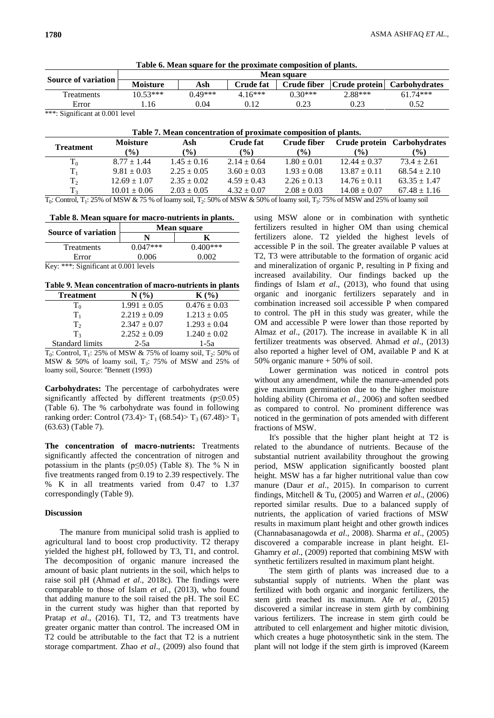|                                     | <b>Mean square</b> |           |           |             |         |                             |
|-------------------------------------|--------------------|-----------|-----------|-------------|---------|-----------------------------|
| <b>Source of variation</b>          | <b>Moisture</b>    | Ash       | Crude fat | Crude fiber |         | Crude protein Carbohydrates |
| <b>Treatments</b>                   | $10.53***$         | $0.49***$ | $4.16***$ | $0.30***$   | 2.88*** | $61.74***$                  |
| Error                               | 16                 | 0.04      | 0.12      | 0.23        | 0.23    | 0.52                        |
| $*$ **. $C$ : : $C$ : $\pm$ 0.001 1 |                    |           |           |             |         |                             |

| Table 6. Mean square for the proximate composition of plants. |
|---------------------------------------------------------------|
|---------------------------------------------------------------|

: Significant at 0.001 level

| Table 7. Mean concentration of proximate composition of plants. |                  |                 |                  |                 |                  |                             |
|-----------------------------------------------------------------|------------------|-----------------|------------------|-----------------|------------------|-----------------------------|
| <b>Treatment</b>                                                | <b>Moisture</b>  | Ash             | <b>Crude fat</b> | Crude fiber     |                  | Crude protein Carbohydrates |
|                                                                 | $\frac{6}{6}$    | $\frac{9}{0}$   | $\frac{6}{6}$    | $(\%)$          | $\frac{9}{6}$    | $(\%)$                      |
| $T_0$                                                           | $8.77 \pm 1.44$  | $1.45 \pm 0.16$ | $2.14 \pm 0.64$  | $1.80 \pm 0.01$ | $12.44 \pm 0.37$ | $73.4 \pm 2.61$             |
| $T_{1}$                                                         | $9.81 \pm 0.03$  | $2.25 \pm 0.05$ | $3.60 \pm 0.03$  | $1.93 \pm 0.08$ | $13.87 \pm 0.11$ | $68.54 \pm 2.10$            |
| T <sub>2</sub>                                                  | $12.69 \pm 1.07$ | $2.35 \pm 0.02$ | $4.59 \pm 0.43$  | $2.26 \pm 0.13$ | $14.76 \pm 0.11$ | $63.35 \pm 1.47$            |
| T <sub>3</sub>                                                  | $10.01 \pm 0.06$ | $2.03 \pm 0.05$ | $4.32 \pm 0.07$  | $2.08 \pm 0.03$ | $14.08 \pm 0.07$ | $67.48 \pm 1.16$            |

 $T_0$ : Control, T<sub>1</sub>: 25% of MSW & 75 % of loamy soil, T<sub>2</sub>: 50% of MSW & 50% of loamy soil, T<sub>3</sub>: 75% of MSW and 25% of loamy soil

**Table 8. Mean square for macro-nutrients in plants.**

|                                       | Mean square |            |  |  |  |
|---------------------------------------|-------------|------------|--|--|--|
| <b>Source of variation</b>            |             |            |  |  |  |
| Treatments                            | $0.047***$  | $0.400***$ |  |  |  |
| Error                                 | 0.006       | 0.002      |  |  |  |
| Key: ***: Significant at 0.001 levels |             |            |  |  |  |

## **Table 9. Mean concentration of macro-nutrients in plants**

| <b>Treatment</b>       | N(%              | $K(\%)$          |
|------------------------|------------------|------------------|
| Τō                     | $1.991 \pm 0.05$ | $0.476 \pm 0.03$ |
| $T_{1}$                | $2.219 \pm 0.09$ | $1.213 \pm 0.05$ |
| T,                     | $2.347 \pm 0.07$ | $1.293 \pm 0.04$ |
| $T_{3}$                | $2.252 \pm 0.09$ | $1.240 \pm 0.02$ |
| <b>Standard limits</b> | $2-5a$           | $1-5a$           |

 $T_0$ : Control,  $T_1$ : 25% of MSW & 75% of loamy soil,  $T_2$ : 50% of MSW & 50% of loamy soil,  $T_3$ : 75% of MSW and 25% of loamy soil, Source: <sup>a</sup>Bennett (1993)

**Carbohydrates:** The percentage of carbohydrates were significantly affected by different treatments (p≤0.05) (Table 6). The % carbohydrate was found in following ranking order: Control (73.4) > T<sub>1</sub> (68.54) > T<sub>3</sub> (67.48) > T<sub>1</sub> (63.63) (Table 7).

**The concentration of macro-nutrients:** Treatments significantly affected the concentration of nitrogen and potassium in the plants ( $p \le 0.05$ ) (Table 8). The % N in five treatments ranged from 0.19 to 2.39 respectively. The % K in all treatments varied from 0.47 to 1.37 correspondingly (Table 9).

## **Discussion**

The manure from municipal solid trash is applied to agricultural land to boost crop productivity. T2 therapy yielded the highest pH, followed by T3, T1, and control. The decomposition of organic manure increased the amount of basic plant nutrients in the soil, which helps to raise soil pH (Ahmad *et al*., 2018c). The findings were comparable to those of Islam *et al*., (2013), who found that adding manure to the soil raised the pH. The soil EC in the current study was higher than that reported by Pratap *et al.*, (2016). T1, T2, and T3 treatments have greater organic matter than control. The increased OM in T2 could be attributable to the fact that T2 is a nutrient storage compartment. Zhao *et al*., (2009) also found that using MSW alone or in combination with synthetic fertilizers resulted in higher OM than using chemical fertilizers alone. T2 yielded the highest levels of accessible P in the soil. The greater available P values at T2, T3 were attributable to the formation of organic acid and mineralization of organic P, resulting in P fixing and increased availability. Our findings backed up the findings of Islam *et al*., (2013), who found that using organic and inorganic fertilizers separately and in combination increased soil accessible P when compared to control. The pH in this study was greater, while the OM and accessible P were lower than those reported by Almaz *et al*., (2017). The increase in available K in all fertilizer treatments was observed. Ahmad *et al*., (2013) also reported a higher level of OM, available P and K at 50% organic manure + 50% of soil.

Lower germination was noticed in control pots without any amendment, while the manure-amended pots give maximum germination due to the higher moisture holding ability (Chiroma *et al*., 2006) and soften seedbed as compared to control. No prominent difference was noticed in the germination of pots amended with different fractions of MSW.

It's possible that the higher plant height at T2 is related to the abundance of nutrients. Because of the substantial nutrient availability throughout the growing period, MSW application significantly boosted plant height. MSW has a far higher nutritional value than cow manure (Daur *et al*., 2015). In comparison to current findings, Mitchell & Tu, (2005) and Warren *et al*., (2006) reported similar results. Due to a balanced supply of nutrients, the application of varied fractions of MSW results in maximum plant height and other growth indices (Channabasanagowda *et al*., 2008). Sharma *et al*., (2005) discovered a comparable increase in plant height. El-Ghamry *et al*., (2009) reported that combining MSW with synthetic fertilizers resulted in maximum plant height.

The stem girth of plants was increased due to a substantial supply of nutrients. When the plant was fertilized with both organic and inorganic fertilizers, the stem girth reached its maximum. Afe *et al*., (2015) discovered a similar increase in stem girth by combining various fertilizers. The increase in stem girth could be attributed to cell enlargement and higher mitotic division, which creates a huge photosynthetic sink in the stem. The plant will not lodge if the stem girth is improved (Kareem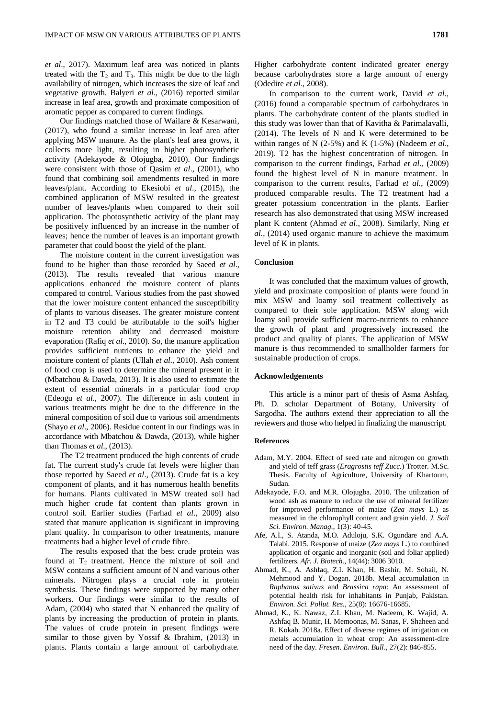*et al*., 2017). Maximum leaf area was noticed in plants treated with the  $T_2$  and  $T_3$ . This might be due to the high availability of nitrogen, which increases the size of leaf and vegetative growth. Balyeri *et al.*, (2016) reported similar increase in leaf area, growth and proximate composition of aromatic pepper as compared to current findings.

Our findings matched those of Wailare & Kesarwani, (2017), who found a similar increase in leaf area after applying MSW manure. As the plant's leaf area grows, it collects more light, resulting in higher photosynthetic activity (Adekayode & Olojugba, 2010). Our findings were consistent with those of Qasim *et al*., (2001), who found that combining soil amendments resulted in more leaves/plant. According to Ekesiobi *et al*., (2015), the combined application of MSW resulted in the greatest number of leaves/plants when compared to their soil application. The photosynthetic activity of the plant may be positively influenced by an increase in the number of leaves; hence the number of leaves is an important growth parameter that could boost the yield of the plant.

The moisture content in the current investigation was found to be higher than those recorded by Saeed *et al*., (2013). The results revealed that various manure applications enhanced the moisture content of plants compared to control. Various studies from the past showed that the lower moisture content enhanced the susceptibility of plants to various diseases. The greater moisture content in T2 and T3 could be attributable to the soil's higher moisture retention ability and decreased moisture evaporation (Rafiq *et al*., 2010). So, the manure application provides sufficient nutrients to enhance the yield and moisture content of plants (Ullah *et al*., 2010). Ash content of food crop is used to determine the mineral present in it (Mbatchou & Dawda, 2013). It is also used to estimate the extent of essential minerals in a particular food crop (Edeogu *et al*., 2007). The difference in ash content in various treatments might be due to the difference in the mineral composition of soil due to various soil amendments (Shayo *et al*., 2006). Residue content in our findings was in accordance with Mbatchou & Dawda, (2013), while higher than Thomas *et al*., (2013).

The T2 treatment produced the high contents of crude fat. The current study's crude fat levels were higher than those reported by Saeed *et al*., (2013). Crude fat is a key component of plants, and it has numerous health benefits for humans. Plants cultivated in MSW treated soil had much higher crude fat content than plants grown in control soil. Earlier studies (Farhad *et al*., 2009) also stated that manure application is significant in improving plant quality. In comparison to other treatments, manure treatments had a higher level of crude fibre.

The results exposed that the best crude protein was found at  $T_2$  treatment. Hence the mixture of soil and MSW contains a sufficient amount of N and various other minerals. Nitrogen plays a crucial role in protein synthesis. These findings were supported by many other workers. Our findings were similar to the results of Adam, (2004) who stated that N enhanced the quality of plants by increasing the production of protein in plants. The values of crude protein in present findings were similar to those given by Yossif & Ibrahim, (2013) in plants. Plants contain a large amount of carbohydrate.

In comparison to the current work, David *et al*., (2016) found a comparable spectrum of carbohydrates in plants. The carbohydrate content of the plants studied in this study was lower than that of Kavitha & Parimalavalli, (2014). The levels of N and K were determined to be within ranges of N (2-5%) and K (1-5%) (Nadeem *et al*., 2019). T2 has the highest concentration of nitrogen. In comparison to the current findings, Farhad *et al*., (2009) found the highest level of N in manure treatment. In comparison to the current results, Farhad *et al*., (2009) produced comparable results. The T2 treatment had a greater potassium concentration in the plants. Earlier research has also demonstrated that using MSW increased plant K content (Ahmad *et al*., 2008). Similarly, Ning *et al*., (2014) used organic manure to achieve the maximum level of K in plants.

#### C**onclusion**

It was concluded that the maximum values of growth, yield and proximate composition of plants were found in mix MSW and loamy soil treatment collectively as compared to their sole application. MSW along with loamy soil provide sufficient macro-nutrients to enhance the growth of plant and progressively increased the product and quality of plants. The application of MSW manure is thus recommended to smallholder farmers for sustainable production of crops.

## **Acknowledgements**

This article is a minor part of thesis of Asma Ashfaq, Ph. D. scholar Department of Botany, University of Sargodha. The authors extend their appreciation to all the reviewers and those who helped in finalizing the manuscript.

## **References**

- Adam, M.Y. 2004. Effect of seed rate and nitrogen on growth and yield of teff grass (*Eragrostis teff Zucc.*) Trotter. M.Sc. Thesis. Faculty of Agriculture, University of Khartoum, Sudan.
- Adekayode, F.O. and M.R. Olojugba. 2010. The utilization of wood ash as manure to reduce the use of mineral fertilizer for improved performance of maize (*Zea mays* L.) as measured in the chlorophyll content and grain yield. *J. Soil Sci. Environ. Manag.*, 1(3): 40-45.
- Afe, A.I., S. Atanda, M.O. Aduloju, S.K. Ogundare and A.A. Talabi. 2015. Response of maize (*Zea mays* L.) to combined application of organic and inorganic (soil and foliar applied) fertilizers. *Afr. J. Biotech.*, 14(44): 3006 3010.
- Ahmad, K., A. Ashfaq, Z.I. Khan, H. Bashir, M. Sohail, N. Mehmood and Y. Dogan. 2018b. Metal accumulation in *Raphanus sativus* and *Brassica rapa*: An assessment of potential health risk for inhabitants in Punjab, Pakistan. *Environ. Sci. Pollut. Res.,* 25(8): 16676-16685.
- Ahmad, K., K. Nawaz, Z.I. Khan, M. Nadeem, K. Wajid, A. Ashfaq B. Munir, H. Memoonas, M. Sanas, F. Shaheen and R. Kokab. 2018a. Effect of diverse regimes of irrigation on metals accumulation in wheat crop: An assessment-dire need of the day. *Fresen. Environ. Bull*., 27(2): 846-855.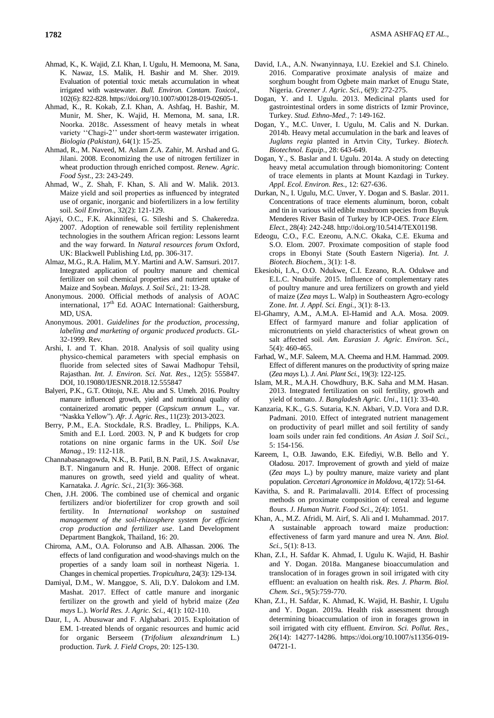- Ahmad, K., K. Wajid, Z.I. Khan, I. Ugulu, H. Memoona, M. Sana, K. Nawaz, I.S. Malik, H. Bashir and M. Sher. 2019. Evaluation of potential toxic metals accumulation in wheat irrigated with wastewater. *Bull. Environ. Contam. Toxicol*., 102(6): 822-828. https://doi.org/10.1007/s00128-019-02605-1.
- Ahmad, K., R. Kokab, Z.I. Khan, A. Ashfaq, H. Bashir, M. Munir, M. Sher, K. Wajid, H. Memona, M. sana, I.R. Noorka. 2018c. Assessment of heavy metals in wheat variety "Chagi-2" under short-term wastewater irrigation. *Biologia (Pakistan),* 64(1): 15-25.
- Ahmad, R., M. Naveed, M. Aslam Z.A. Zahir, M. Arshad and G. Jilani. 2008. Economizing the use of nitrogen fertilizer in wheat production through enriched compost. *Renew. Agric. Food Syst.,* 23: 243-249.
- Ahmad, W., Z. Shah, F. Khan, S. Ali and W. Malik. 2013. Maize yield and soil properties as influenced by integrated use of organic, inorganic and biofertilizers in a low fertility soil. *Soil Environ*., 32(2): 121-129.
- Ajayi, O.C., F.K. Akinnifesi, G. Sileshi and S. Chakeredza. 2007. Adoption of renewable soil fertility replenishment technologies in the southern African region: Lessons learnt and the way forward. In *Natural resources forum* Oxford, UK: Blackwell Publishing Ltd, pp. 306-317.
- Almaz, M.G., R.A. Halim, M.Y. Martini and A.W. Samsuri. 2017. Integrated application of poultry manure and chemical fertilizer on soil chemical properties and nutrient uptake of Maize and Soybean. *Malays. J. Soil Sci.,* 21: 13-28.
- Anonymous. 2000. Official methods of analysis of AOAC international,  $17<sup>th</sup>$  Ed. AOAC International: Gaithersburg, MD, USA.
- Anonymous. 2001. *Guidelines for the production, processing, labeling and marketing of organic produced products*. GL-32-1999. Rev.
- Arshi, I. and T. Khan. 2018. Analysis of soil quality using physico-chemical parameters with special emphasis on fluoride from selected sites of Sawai Madhopur Tehsil, Rajasthan. *Int. J. Environ. Sci. Nat. Res*., 12(5): 555847. DOI, 10.19080/IJESNR.2018.12.555847
- Balyeri, P.K., G.T. Otitoju, N.E. Abu and S. Umeh. 2016. Poultry manure influenced growth, yield and nutritional quality of containerized aromatic pepper (*Capsicum annum* L., var. "Naskka Yellow"). *Afr. J. Agric. Res*., 11(23): 2013-2023.
- Berry, P.M., E.A. Stockdale, R.S. Bradley, L. Philipps, K.A. Smith and E.I. Lord. 2003. N, P and K budgets for crop rotations on nine organic farms in the UK. *Soil Use Manag.,* 19: 112-118.
- Channabasanagowda, N.K., B. Patil, B.N. Patil, J.S. Awaknavar, B.T. Ninganurn and R. Hunje. 2008. Effect of organic manures on growth, seed yield and quality of wheat. Karnataka. *J. Agric. Sci.*, 21(3): 366-368.
- Chen, J.H. 2006. The combined use of chemical and organic fertilizers and/or biofertilizer for crop growth and soil fertility. In *International workshop on sustained management of the soil-rhizosphere system for efficient crop production and fertilizer use*. Land Development Department Bangkok, Thailand, 16: 20.
- Chiroma, A.M., O.A. Folorunso and A.B. Alhassan. 2006. The effects of land configuration and wood-shavings mulch on the properties of a sandy loam soil in northeast Nigeria. 1. Changes in chemical properties. *Tropicultura*, 24(3): 129-134.
- Damiyal, D.M., W. Manggoe, S. Ali, D.Y. Dalokom and I.M. Mashat. 2017. Effect of cattle manure and inorganic fertilizer on the growth and yield of hybrid maize (*Zea mays* L.). *World Res. J. Agric. Sci.*, 4(1): 102-110.
- Daur, I., A. Abusuwar and F. Alghabari. 2015. Exploitation of EM. 1-treated blends of organic resources and humic acid for organic Berseem (*Trifolium alexandrinum* L.) production. *Turk. J. Field Crops,* 20: 125-130.
- David, I.A., A.N. Nwanyinnaya, I.U. Ezekiel and S.I. Chinelo. 2016. Comparative proximate analysis of maize and sorghum bought from Ogbete main market of Enugu State, Nigeria. *Greener J. Agric. Sci.,* 6(9): 272-275.
- Dogan, Y. and I. Ugulu. 2013. Medicinal plants used for gastrointestinal orders in some districts of Izmir Province, Turkey. *Stud. Ethno-Med.,* 7: 149-162.
- Dogan, Y., M.C. Unver, I. Ugulu, M. Calis and N. Durkan. 2014b. Heavy metal accumulation in the bark and leaves of *Juglans regia* planted in Artvin City, Turkey. *Biotech. Biotechnol. Equip.,* 28: 643-649.
- Dogan, Y., S. Baslar and I. Ugulu. 2014a. A study on detecting heavy metal accumulation through biomonitoring: Content of trace elements in plants at Mount Kazdagi in Turkey. *Appl. Ecol. Environ. Res.,* 12: 627-636.
- Durkan, N., I. Ugulu, M.C. Unver, Y. Dogan and S. Baslar. 2011. Concentrations of trace elements aluminum, boron, cobalt and tin in various wild edible mushroom species from Buyuk Menderes River Basin of Turkey by ICP-OES. *Trace Elem. Elect.,* 28(4): 242-248[. http://doi.org/10.5414/TEX01198.](http://doi.org/10.5414/TEX01198)
- Edeogu, C.O., F.C. Ezeonu, A.N.C. Okaka, C.E. Ekuma and S.O. Elom. 2007. Proximate composition of staple food crops in Ebonyi State (South Eastern Nigeria). *Int. J. Biotech. Biochem.*, 3(1): 1-8.
- Ekesiobi, I.A., O.O. Ndukwe, C.I. Ezeano, R.A. Odukwe and E.L.C. Nnabuife. 2015. Influence of complementary rates of poultry manure and urea fertilizers on growth and yield of maize (*Zea mays* L. Walp) in Southeastern Agro-ecology Zone. *Int. J. Appl. Sci. Engi.,* 3(1): 8-13.
- El-Ghamry, A.M., A.M.A. El-Hamid and A.A. Mosa. 2009. Effect of farmyard manure and foliar application of micronutrients on yield characteristics of wheat grown on salt affected soil. *Am. Eurasian J. Agric. Environ. Sci.,*  5(4): 460-465.
- Farhad, W., M.F. Saleem, M.A. Cheema and H.M. Hammad. 2009. Effect of different manures on the productivity of spring maize (*Zea mays* L). *J. Ani. Plant Sci.,* 19(3): 122-125.
- Islam, M.R., M.A.H. Chowdhury, B.K. Saha and M.M. Hasan. 2013. Integrated fertilization on soil fertility, growth and yield of tomato. *J. Bangladesh Agric. Uni*., 11(1): 33-40.
- Kanzaria, K.K., G.S. Sutaria, K.N. Akbari, V.D. Vora and D.R. Padmani. 2010. Effect of integrated nutrient management on productivity of pearl millet and soil fertility of sandy loam soils under rain fed conditions. *An Asian J. Soil Sci.*, 5: 154-156.
- Kareem, I., O.B. Jawando, E.K. Eifediyi, W.B. Bello and Y. Oladosu. 2017. Improvement of growth and yield of maize (*Zea mays* L.) by poultry manure, maize variety and plant population. *Cercetari Agronomice in Moldova*, 4(172): 51-64.
- Kavitha, S. and R. Parimalavalli. 2014. Effect of processing methods on proximate composition of cereal and legume flours. *J. Human Nutrit. Food Sci.*, 2(4): 1051.
- Khan, A., M.Z. Afridi, M. Airf, S. Ali and I. Muhammad. 2017. A sustainable approach toward maize production: effectiveness of farm yard manure and urea N. *Ann. Biol. Sci.,* 5(1): 8-13.
- Khan, Z.I., H. Safdar K. Ahmad, I. Ugulu K. Wajid, H. Bashir and Y. Dogan. 2018a. Manganese bioaccumulation and translocation of in forages grown in soil irrigated with city effluent: an evaluation on health risk. *Res. J. Pharm. Biol. Chem. Sci.,* 9(5):759-770.
- Khan, Z.I., H. Safdar, K. Ahmad, K. Wajid, H. Bashir, I. Ugulu and Y. Dogan. 2019a. Health risk assessment through determining bioaccumulation of iron in forages grown in soil irrigated with city effluent. *Environ. Sci. Pollut. Res.,*  26(14): 14277-14286. https://doi.org/10.1007/s11356-019- 04721-1.